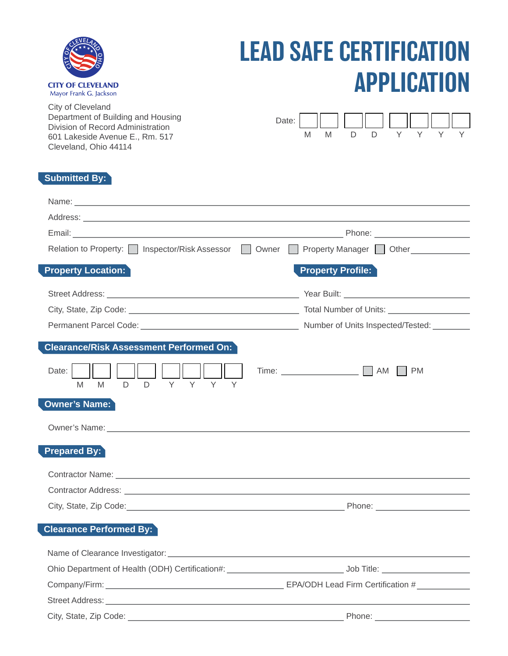| <b>CITY OF CLEVELAND</b><br>Mayor Frank G. Jackson |
|----------------------------------------------------|

## LEAD SAFE CERTIFICATION APPLICATION

City of Cleveland Department of Building and Housing Division of Record Administration 601 Lakeside Avenue E., Rm. 517 Cleveland, Ohio 44114

|  |  | Date: $\begin{array}{ c c c c c c c c c } \hline \multicolumn{1}{ c }{\text{Date:}} & \multicolumn{1}{ c }{\text{Date:}} & \multicolumn{1}{ c }{\text{Date:}} & \multicolumn{1}{ c }{\text{Date:}} & \multicolumn{1}{ c }{\text{Date:}} & \multicolumn{1}{ c }{\text{Date:}} & \multicolumn{1}{ c }{\text{Date:}} & \multicolumn{1}{ c }{\text{Date:}} & \multicolumn{1}{ c }{\text{Date:}} & \multicolumn{1}{ c }{\text{Date:}} & \multicolumn{1$ |  |  |
|--|--|----------------------------------------------------------------------------------------------------------------------------------------------------------------------------------------------------------------------------------------------------------------------------------------------------------------------------------------------------------------------------------------------------------------------------------------------------|--|--|
|  |  | DDYYYY                                                                                                                                                                                                                                                                                                                                                                                                                                             |  |  |

### **Submitted By:**

| Relation to Property:   Inspector/Risk Assessor   Owner   Property Manager   Other                                                                                                                                             |                          |
|--------------------------------------------------------------------------------------------------------------------------------------------------------------------------------------------------------------------------------|--------------------------|
| <b>Property Location:</b>                                                                                                                                                                                                      | <b>Property Profile:</b> |
|                                                                                                                                                                                                                                |                          |
|                                                                                                                                                                                                                                |                          |
|                                                                                                                                                                                                                                |                          |
| <b>Clearance/Risk Assessment Performed On:</b>                                                                                                                                                                                 |                          |
| Date:<br>Y<br>D.<br>D.<br>M <sub>1</sub><br>M                                                                                                                                                                                  |                          |
| <b>Owner's Name:</b>                                                                                                                                                                                                           |                          |
| Owner's Name: Department of the Contract of the Contract of the Contract of the Contract of the Contract of the Contract of the Contract of the Contract of the Contract of the Contract of the Contract of the Contract of th |                          |
| <b>Prepared By:</b>                                                                                                                                                                                                            |                          |
|                                                                                                                                                                                                                                |                          |
|                                                                                                                                                                                                                                |                          |
|                                                                                                                                                                                                                                |                          |
| <b>Clearance Performed By:</b>                                                                                                                                                                                                 |                          |
|                                                                                                                                                                                                                                |                          |
|                                                                                                                                                                                                                                |                          |
|                                                                                                                                                                                                                                |                          |
|                                                                                                                                                                                                                                |                          |
| City, State, Zip Code:                                                                                                                                                                                                         | Phone:                   |